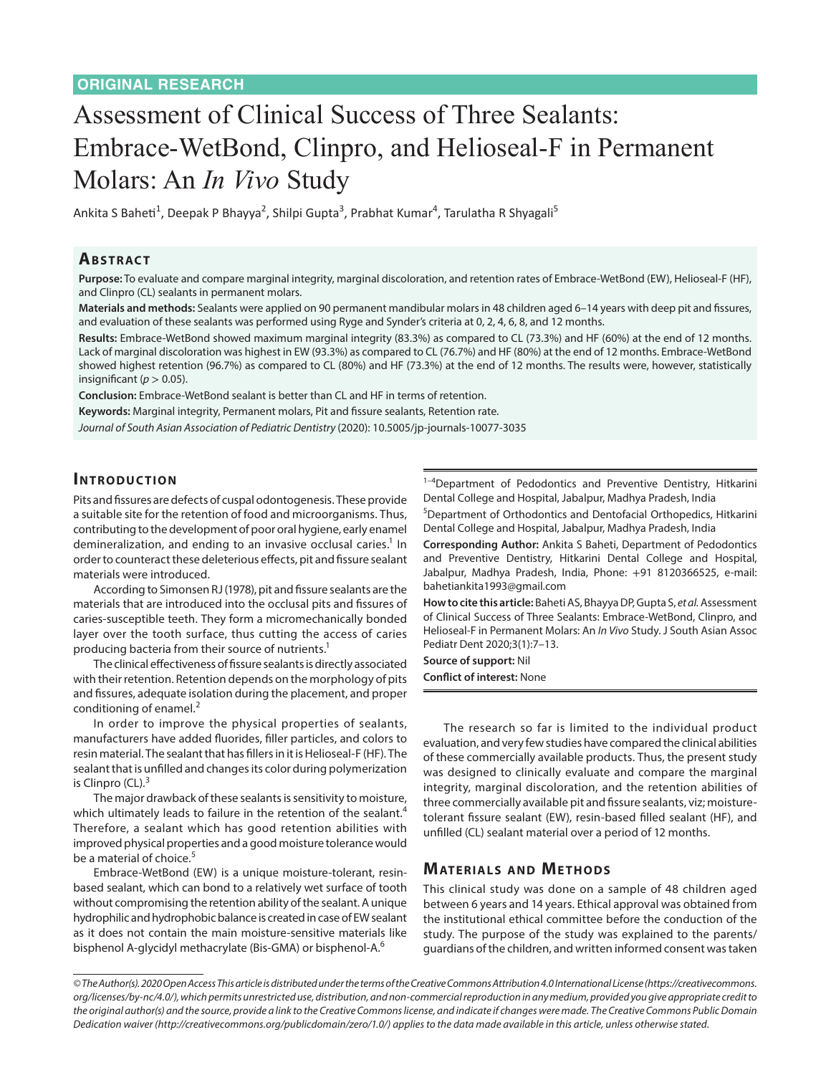# Assessment of Clinical Success of Three Sealants: Embrace-WetBond, Clinpro, and Helioseal-F in Permanent Molars: An *In Vivo* Study

Ankita S Baheti<sup>1</sup>, Deepak P Bhayya<sup>2</sup>, Shilpi Gupta<sup>3</sup>, Prabhat Kumar<sup>4</sup>, Tarulatha R Shyagali<sup>5</sup>

### **ABSTRACT**

**Purpose:** To evaluate and compare marginal integrity, marginal discoloration, and retention rates of Embrace-WetBond (EW), Helioseal-F (HF), and Clinpro (CL) sealants in permanent molars.

**Materials and methods:** Sealants were applied on 90 permanent mandibular molars in 48 children aged 6–14 years with deep pit and fissures, and evaluation of these sealants was performed using Ryge and Synder's criteria at 0, 2, 4, 6, 8, and 12 months.

**Results:** Embrace-WetBond showed maximum marginal integrity (83.3%) as compared to CL (73.3%) and HF (60%) at the end of 12 months. Lack of marginal discoloration was highest in EW (93.3%) as compared to CL (76.7%) and HF (80%) at the end of 12 months. Embrace-WetBond showed highest retention (96.7%) as compared to CL (80%) and HF (73.3%) at the end of 12 months. The results were, however, statistically insignificant ( $p > 0.05$ ).

**Conclusion:** Embrace-WetBond sealant is better than CL and HF in terms of retention.

**Keywords:** Marginal integrity, Permanent molars, Pit and fissure sealants, Retention rate.

*Journal of South Asian Association of Pediatric Dentistry* (2020): 10.5005/jp-journals-10077-3035

### **INTRODUCTION**

Pits and fissures are defects of cuspal odontogenesis. These provide a suitable site for the retention of food and microorganisms. Thus, contributing to the development of poor oral hygiene, early enamel demineralization, and ending to an invasive occlusal caries.<sup>1</sup> In order to counteract these deleterious effects, pit and fissure sealant materials were introduced.

According to Simonsen RJ (1978), pit and fissure sealants are the materials that are introduced into the occlusal pits and fissures of caries-susceptible teeth. They form a micromechanically bonded layer over the tooth surface, thus cutting the access of caries producing bacteria from their source of nutrients.<sup>1</sup>

The clinical effectiveness of fissure sealants is directly associated with their retention. Retention depends on the morphology of pits and fissures, adequate isolation during the placement, and proper conditioning of enamel.<sup>2</sup>

In order to improve the physical properties of sealants, manufacturers have added fluorides, filler particles, and colors to resin material. The sealant that has fillers in it is Helioseal-F (HF). The sealant that is unfilled and changes its color during polymerization is Clinpro  $(CL).<sup>3</sup>$ 

The major drawback of these sealants is sensitivity to moisture, which ultimately leads to failure in the retention of the sealant.<sup>4</sup> Therefore, a sealant which has good retention abilities with improved physical properties and a good moisture tolerance would be a material of choice.<sup>5</sup>

Embrace-WetBond (EW) is a unique moisture-tolerant, resinbased sealant, which can bond to a relatively wet surface of tooth without compromising the retention ability of the sealant. A unique hydrophilic and hydrophobic balance is created in case of EW sealant as it does not contain the main moisture-sensitive materials like bisphenol A-glycidyl methacrylate (Bis-GMA) or bisphenol-A.<sup>6</sup>

 $1-4$ Department of Pedodontics and Preventive Dentistry, Hitkarini Dental College and Hospital, Jabalpur, Madhya Pradesh, India

5 Department of Orthodontics and Dentofacial Orthopedics, Hitkarini Dental College and Hospital, Jabalpur, Madhya Pradesh, India

**Corresponding Author:** Ankita S Baheti, Department of Pedodontics and Preventive Dentistry, Hitkarini Dental College and Hospital, Jabalpur, Madhya Pradesh, India, Phone: +91 8120366525, e-mail: bahetiankita1993@gmail.com

**How to cite this article:** Baheti AS, Bhayya DP, Gupta S, *et al.* Assessment of Clinical Success of Three Sealants: Embrace-WetBond, Clinpro, and Helioseal-F in Permanent Molars: An *In Vivo* Study. J South Asian Assoc Pediatr Dent 2020;3(1):7–13.

**Source of support:** Nil **Conflict of interest:** None

The research so far is limited to the individual product evaluation, and very few studies have compared the clinical abilities of these commercially available products. Thus, the present study was designed to clinically evaluate and compare the marginal integrity, marginal discoloration, and the retention abilities of three commercially available pit and fissure sealants, viz; moisturetolerant fissure sealant (EW), resin-based filled sealant (HF), and unfilled (CL) sealant material over a period of 12 months.

### **MATERIALS AND METHODS**

This clinical study was done on a sample of 48 children aged between 6 years and 14 years. Ethical approval was obtained from the institutional ethical committee before the conduction of the study. The purpose of the study was explained to the parents/ guardians of the children, and written informed consent was taken

*<sup>©</sup> The Author(s). 2020 Open Access This article is distributed under the terms of the Creative Commons Attribution 4.0 International License (https://creativecommons. org/licenses/by-nc/4.0/), which permits unrestricted use, distribution, and non-commercial reproduction in any medium, provided you give appropriate credit to the original author(s) and the source, provide a link to the Creative Commons license, and indicate if changes were made. The Creative Commons Public Domain Dedication waiver (http://creativecommons.org/publicdomain/zero/1.0/) applies to the data made available in this article, unless otherwise stated.*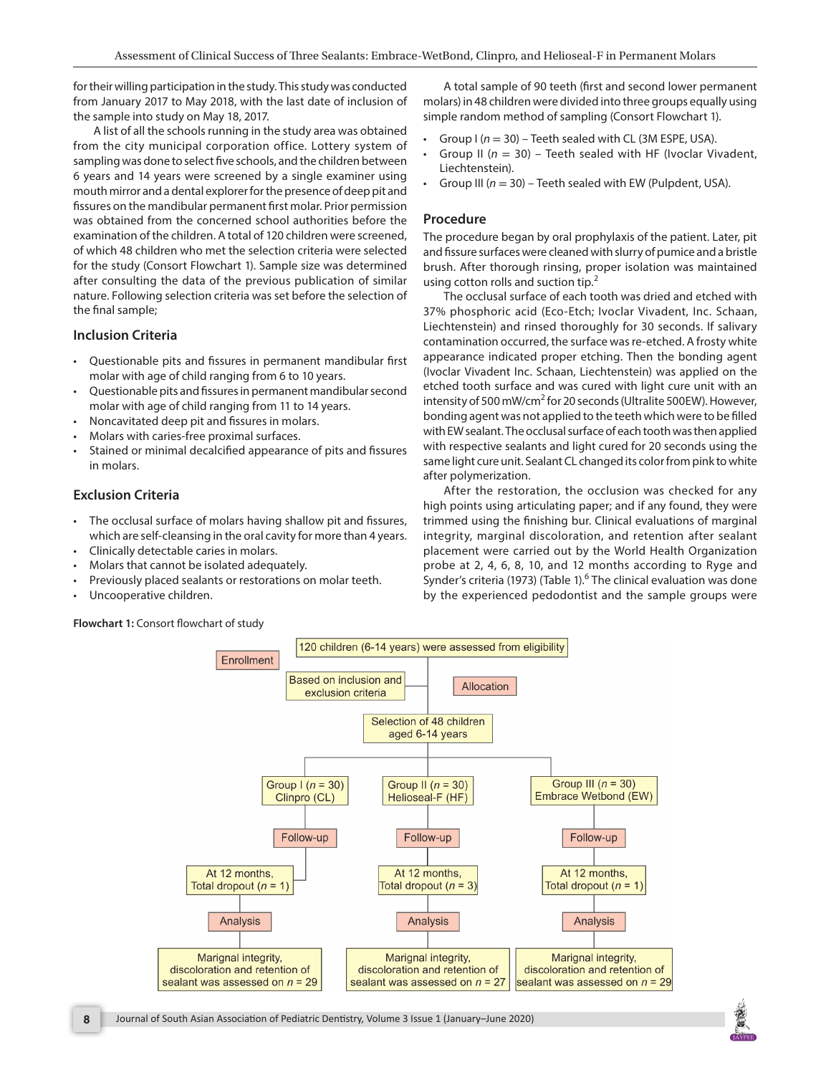for their willing participation in the study. This study was conducted from January 2017 to May 2018, with the last date of inclusion of the sample into study on May 18, 2017.

A list of all the schools running in the study area was obtained from the city municipal corporation office. Lottery system of sampling was done to select five schools, and the children between 6 years and 14 years were screened by a single examiner using mouth mirror and a dental explorer for the presence of deep pit and fissures on the mandibular permanent first molar. Prior permission was obtained from the concerned school authorities before the examination of the children. A total of 120 children were screened, of which 48 children who met the selection criteria were selected for the study (Consort Flowchart 1). Sample size was determined after consulting the data of the previous publication of similar nature. Following selection criteria was set before the selection of the final sample;

#### **Inclusion Criteria**

- Questionable pits and fissures in permanent mandibular first molar with age of child ranging from 6 to 10 years.
- Questionable pits and fissures in permanent mandibular second molar with age of child ranging from 11 to 14 years.
- Noncavitated deep pit and fissures in molars.
- Molars with caries-free proximal surfaces.
- Stained or minimal decalcified appearance of pits and fissures in molars.

### **Exclusion Criteria**

- The occlusal surface of molars having shallow pit and fissures, which are self-cleansing in the oral cavity for more than 4 years.
- Clinically detectable caries in molars.
- Molars that cannot be isolated adequately.
- Previously placed sealants or restorations on molar teeth.
- Uncooperative children.

**Flowchart 1:** Consort flowchart of study

A total sample of 90 teeth (first and second lower permanent molars) in 48 children were divided into three groups equally using simple random method of sampling (Consort Flowchart 1).

- Group  $I(n = 30)$  Teeth sealed with CL (3M ESPE, USA).
- Group II (*n* = 30) Teeth sealed with HF (Ivoclar Vivadent, Liechtenstein).
- Group III (*n* = 30) Teeth sealed with EW (Pulpdent, USA).

#### **Procedure**

The procedure began by oral prophylaxis of the patient. Later, pit and fissure surfaces were cleaned with slurry of pumice and a bristle brush. After thorough rinsing, proper isolation was maintained using cotton rolls and suction tip. $<sup>2</sup>$ </sup>

The occlusal surface of each tooth was dried and etched with 37% phosphoric acid (Eco-Etch; Ivoclar Vivadent, Inc. Schaan, Liechtenstein) and rinsed thoroughly for 30 seconds. If salivary contamination occurred, the surface was re-etched. A frosty white appearance indicated proper etching. Then the bonding agent (Ivoclar Vivadent Inc. Schaan, Liechtenstein) was applied on the etched tooth surface and was cured with light cure unit with an intensity of 500 mW/cm<sup>2</sup> for 20 seconds (Ultralite 500EW). However, bonding agent was not applied to the teeth which were to be filled with EW sealant. The occlusal surface of each tooth was then applied with respective sealants and light cured for 20 seconds using the same light cure unit. Sealant CL changed its color from pink to white after polymerization.

After the restoration, the occlusion was checked for any high points using articulating paper; and if any found, they were trimmed using the finishing bur. Clinical evaluations of marginal integrity, marginal discoloration, and retention after sealant placement were carried out by the World Health Organization probe at 2, 4, 6, 8, 10, and 12 months according to Ryge and Synder's criteria (1973) (Table 1).<sup>6</sup> The clinical evaluation was done by the experienced pedodontist and the sample groups were



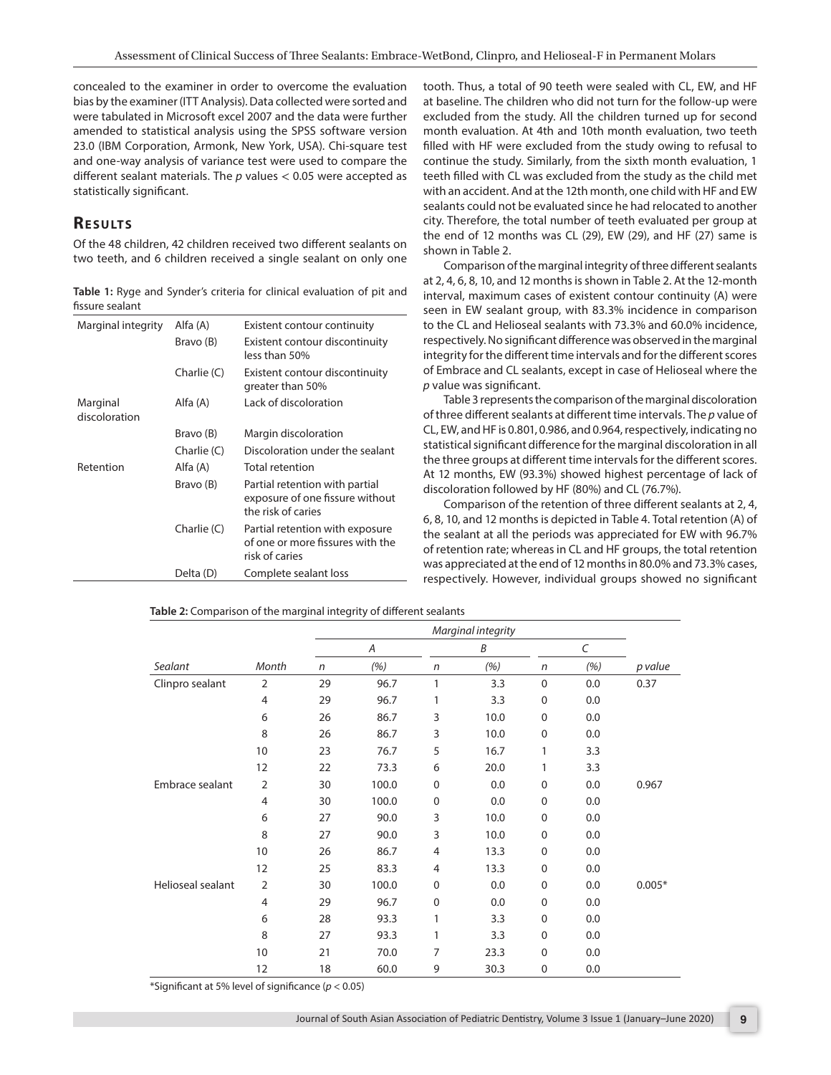concealed to the examiner in order to overcome the evaluation bias by the examiner (ITT Analysis). Data collected were sorted and were tabulated in Microsoft excel 2007 and the data were further amended to statistical analysis using the SPSS software version 23.0 (IBM Corporation, Armonk, New York, USA). Chi-square test and one-way analysis of variance test were used to compare the different sealant materials. The *p* values < 0.05 were accepted as statistically significant.

# **RESULTS**

Of the 48 children, 42 children received two different sealants on two teeth, and 6 children received a single sealant on only one

**Table 1:** Ryge and Synder's criteria for clinical evaluation of pit and fissure sealant

| Marginal integrity        | Alfa (A)      | Existent contour continuity                                                             |  |  |  |  |  |
|---------------------------|---------------|-----------------------------------------------------------------------------------------|--|--|--|--|--|
|                           | Bravo (B)     | Existent contour discontinuity<br>less than 50%                                         |  |  |  |  |  |
|                           | Charlie (C)   | Existent contour discontinuity<br>greater than 50%                                      |  |  |  |  |  |
| Marginal<br>discoloration | Alfa (A)      | Lack of discoloration                                                                   |  |  |  |  |  |
|                           | Bravo (B)     | Margin discoloration                                                                    |  |  |  |  |  |
|                           | Charlie (C)   | Discoloration under the sealant                                                         |  |  |  |  |  |
| Retention                 | Alfa (A)      | <b>Total retention</b>                                                                  |  |  |  |  |  |
|                           | Bravo (B)     | Partial retention with partial<br>exposure of one fissure without<br>the risk of caries |  |  |  |  |  |
|                           | Charlie $(C)$ | Partial retention with exposure<br>of one or more fissures with the<br>risk of caries   |  |  |  |  |  |
|                           | Delta (D)     | Complete sealant loss                                                                   |  |  |  |  |  |

tooth. Thus, a total of 90 teeth were sealed with CL, EW, and HF at baseline. The children who did not turn for the follow-up were excluded from the study. All the children turned up for second month evaluation. At 4th and 10th month evaluation, two teeth filled with HF were excluded from the study owing to refusal to continue the study. Similarly, from the sixth month evaluation, 1 teeth filled with CL was excluded from the study as the child met with an accident. And at the 12th month, one child with HF and EW sealants could not be evaluated since he had relocated to another city. Therefore, the total number of teeth evaluated per group at the end of 12 months was CL (29), EW (29), and HF (27) same is shown in Table 2.

Comparison of the marginal integrity of three different sealants at 2, 4, 6, 8, 10, and 12 months is shown in Table 2. At the 12-month interval, maximum cases of existent contour continuity (A) were seen in EW sealant group, with 83.3% incidence in comparison to the CL and Helioseal sealants with 73.3% and 60.0% incidence, respectively. No significant difference was observed in the marginal integrity for the different time intervals and for the different scores of Embrace and CL sealants, except in case of Helioseal where the *p* value was significant.

Table 3 represents the comparison of the marginal discoloration of three different sealants at different time intervals. The *p* value of CL, EW, and HF is 0.801, 0.986, and 0.964, respectively, indicating no statistical significant difference for the marginal discoloration in all the three groups at different time intervals for the different scores. At 12 months, EW (93.3%) showed highest percentage of lack of discoloration followed by HF (80%) and CL (76.7%).

Comparison of the retention of three different sealants at 2, 4, 6, 8, 10, and 12 months is depicted in Table 4. Total retention (A) of the sealant at all the periods was appreciated for EW with 96.7% of retention rate; whereas in CL and HF groups, the total retention was appreciated at the end of 12 months in 80.0% and 73.3% cases, respectively. However, individual groups showed no significant

| Month<br>$\overline{2}$<br>$\overline{4}$ | $\mathsf{n}$<br>29 | Α<br>(%) | n              | B    |                                                     |     |          |  |
|-------------------------------------------|--------------------|----------|----------------|------|-----------------------------------------------------|-----|----------|--|
|                                           |                    |          |                |      |                                                     | C   |          |  |
|                                           |                    |          |                | (%)  | $\mathsf{n}$                                        | (%) | p value  |  |
|                                           |                    | 96.7     | 1              | 3.3  | $\mathbf 0$                                         | 0.0 | 0.37     |  |
|                                           | 29                 | 96.7     | 1              | 3.3  | 0                                                   | 0.0 |          |  |
| 6                                         | 26                 | 86.7     | 3              | 10.0 | $\mathbf 0$                                         | 0.0 |          |  |
| 8                                         | 26                 | 86.7     | 3              | 10.0 | $\Omega$                                            | 0.0 |          |  |
| 10                                        | 23                 | 76.7     | 5              | 16.7 | 1                                                   | 3.3 |          |  |
| 12                                        | 22                 | 73.3     | 6              | 20.0 | 1                                                   | 3.3 |          |  |
| $\overline{2}$                            | 30                 | 100.0    | 0              | 0.0  | $\mathbf 0$                                         | 0.0 | 0.967    |  |
| $\overline{4}$                            | 30                 | 100.0    | $\mathbf 0$    | 0.0  | $\mathbf 0$                                         | 0.0 |          |  |
| 6                                         | 27                 | 90.0     | 3              | 10.0 | $\mathbf 0$                                         | 0.0 |          |  |
| 8                                         | 27                 | 90.0     | 3              | 10.0 | $\mathbf 0$                                         | 0.0 |          |  |
| 10                                        | 26                 | 86.7     | $\overline{4}$ | 13.3 | $\mathbf 0$                                         | 0.0 |          |  |
| 12                                        | 25                 | 83.3     | 4              | 13.3 | $\mathbf 0$                                         | 0.0 |          |  |
| $\overline{2}$                            | 30                 | 100.0    | 0              | 0.0  | $\mathbf 0$                                         | 0.0 | $0.005*$ |  |
| $\overline{4}$                            | 29                 | 96.7     | $\Omega$       | 0.0  | $\Omega$                                            | 0.0 |          |  |
| 6                                         | 28                 | 93.3     | 1              | 3.3  | $\mathbf 0$                                         | 0.0 |          |  |
| 8                                         | 27                 | 93.3     | 1              | 3.3  | $\mathbf 0$                                         | 0.0 |          |  |
| 10                                        | 21                 | 70.0     | 7              | 23.3 | 0                                                   | 0.0 |          |  |
| 12                                        | 18                 | 60.0     | 9              | 30.3 | $\mathbf 0$                                         | 0.0 |          |  |
|                                           |                    |          |                |      | *Significant at 5% level of significance (p < 0.05) |     |          |  |

**Table 2:** Comparison of the marginal integrity of different sealants

\*Significant at 5% level of significance (*p* < 0.05)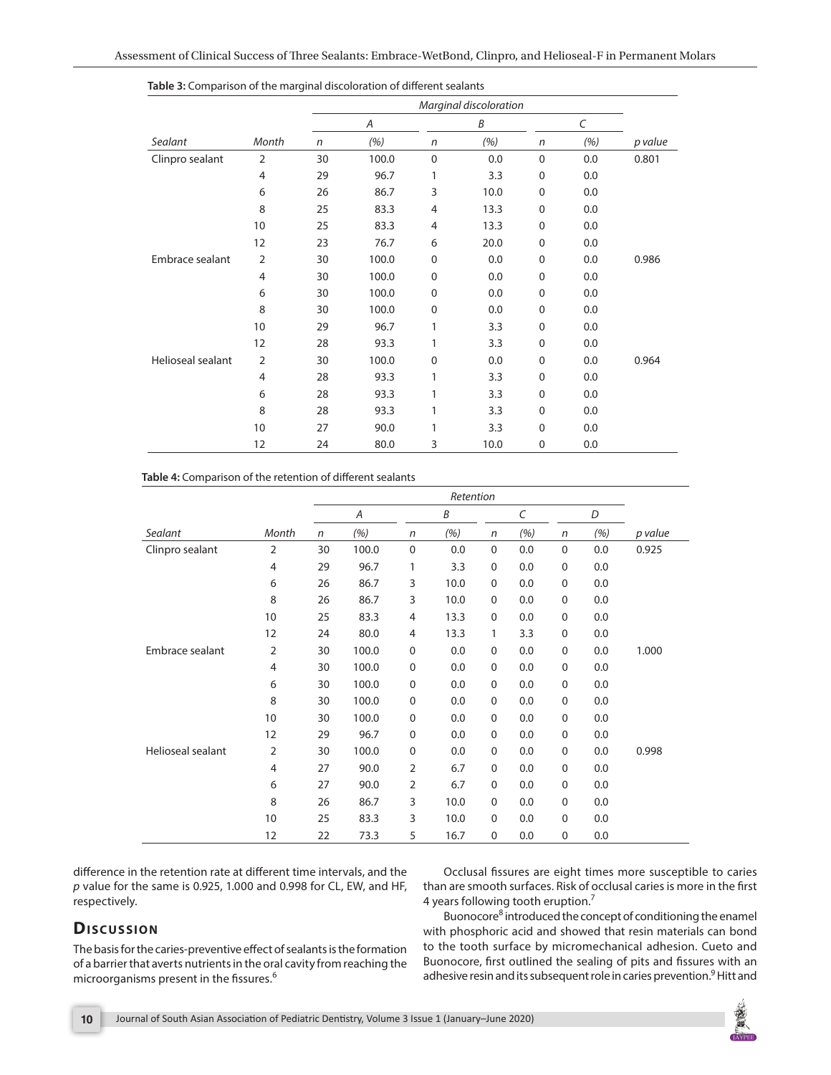|                   |                |              | Α     |             | Β    |             |     |         |
|-------------------|----------------|--------------|-------|-------------|------|-------------|-----|---------|
| Sealant           | Month          | $\mathsf{n}$ | (%)   | n           | (%)  | $\sqrt{n}$  | (%) | p value |
| Clinpro sealant   | $\overline{2}$ | 30           | 100.0 | $\mathbf 0$ | 0.0  | $\mathbf 0$ | 0.0 | 0.801   |
|                   | 4              | 29           | 96.7  | 1           | 3.3  | $\mathbf 0$ | 0.0 |         |
|                   | 6              | 26           | 86.7  | 3           | 10.0 | $\mathbf 0$ | 0.0 |         |
|                   | 8              | 25           | 83.3  | 4           | 13.3 | $\mathbf 0$ | 0.0 |         |
|                   | 10             | 25           | 83.3  | 4           | 13.3 | 0           | 0.0 |         |
|                   | 12             | 23           | 76.7  | 6           | 20.0 | 0           | 0.0 |         |
| Embrace sealant   | $\overline{2}$ | 30           | 100.0 | $\mathbf 0$ | 0.0  | $\mathbf 0$ | 0.0 | 0.986   |
|                   | 4              | 30           | 100.0 | $\mathbf 0$ | 0.0  | $\mathbf 0$ | 0.0 |         |
|                   | 6              | 30           | 100.0 | $\mathbf 0$ | 0.0  | $\mathbf 0$ | 0.0 |         |
|                   | 8              | 30           | 100.0 | $\mathbf 0$ | 0.0  | 0           | 0.0 |         |
|                   | 10             | 29           | 96.7  | 1           | 3.3  | 0           | 0.0 |         |
|                   | 12             | 28           | 93.3  | 1           | 3.3  | 0           | 0.0 |         |
| Helioseal sealant | $\overline{2}$ | 30           | 100.0 | $\mathbf 0$ | 0.0  | $\mathbf 0$ | 0.0 | 0.964   |
|                   | 4              | 28           | 93.3  | 1           | 3.3  | 0           | 0.0 |         |
|                   | 6              | 28           | 93.3  | 1           | 3.3  | $\mathbf 0$ | 0.0 |         |
|                   | 8              | 28           | 93.3  | 1           | 3.3  | 0           | 0.0 |         |
|                   | 10             | 27           | 90.0  | 1           | 3.3  | $\Omega$    | 0.0 |         |
|                   | 12             | 24           | 80.0  | 3           | 10.0 | $\pmb{0}$   | 0.0 |         |

**Table 3:** Comparison of the marginal discoloration of different sealants

#### **Table 4:** Comparison of the retention of different sealants

|                   |                | Retention |       |                |      |             |     |             |     |         |
|-------------------|----------------|-----------|-------|----------------|------|-------------|-----|-------------|-----|---------|
|                   |                | Α         |       |                | B    |             | C   |             | D   |         |
| Sealant           | Month          | n         | (%)   | n              | (%)  | n           | (%) | n           | (%) | p value |
| Clinpro sealant   | $\overline{2}$ | 30        | 100.0 | $\mathbf 0$    | 0.0  | $\mathbf 0$ | 0.0 | $\mathbf 0$ | 0.0 | 0.925   |
|                   | $\overline{4}$ | 29        | 96.7  | 1              | 3.3  | 0           | 0.0 | 0           | 0.0 |         |
|                   | 6              | 26        | 86.7  | 3              | 10.0 | $\mathbf 0$ | 0.0 | 0           | 0.0 |         |
|                   | 8              | 26        | 86.7  | 3              | 10.0 | $\mathbf 0$ | 0.0 | 0           | 0.0 |         |
|                   | 10             | 25        | 83.3  | $\overline{4}$ | 13.3 | $\mathbf 0$ | 0.0 | 0           | 0.0 |         |
|                   | 12             | 24        | 80.0  | $\overline{4}$ | 13.3 | 1           | 3.3 | $\mathbf 0$ | 0.0 |         |
| Embrace sealant   | 2              | 30        | 100.0 | $\mathbf 0$    | 0.0  | $\mathbf 0$ | 0.0 | 0           | 0.0 | 1.000   |
|                   | $\overline{4}$ | 30        | 100.0 | $\mathbf 0$    | 0.0  | $\mathbf 0$ | 0.0 | 0           | 0.0 |         |
|                   | 6              | 30        | 100.0 | $\mathbf 0$    | 0.0  | $\mathbf 0$ | 0.0 | 0           | 0.0 |         |
|                   | 8              | 30        | 100.0 | $\mathbf 0$    | 0.0  | $\mathbf 0$ | 0.0 | 0           | 0.0 |         |
|                   | 10             | 30        | 100.0 | $\mathbf 0$    | 0.0  | $\mathbf 0$ | 0.0 | 0           | 0.0 |         |
|                   | 12             | 29        | 96.7  | $\mathbf 0$    | 0.0  | $\mathbf 0$ | 0.0 | 0           | 0.0 |         |
| Helioseal sealant | $\overline{2}$ | 30        | 100.0 | $\mathbf 0$    | 0.0  | $\mathbf 0$ | 0.0 | $\pmb{0}$   | 0.0 | 0.998   |
|                   | $\overline{4}$ | 27        | 90.0  | $\overline{2}$ | 6.7  | $\mathbf 0$ | 0.0 | 0           | 0.0 |         |
|                   | 6              | 27        | 90.0  | $\overline{2}$ | 6.7  | $\mathbf 0$ | 0.0 | $\mathbf 0$ | 0.0 |         |
|                   | 8              | 26        | 86.7  | 3              | 10.0 | $\mathbf 0$ | 0.0 | 0           | 0.0 |         |
|                   | 10             | 25        | 83.3  | 3              | 10.0 | $\mathbf 0$ | 0.0 | 0           | 0.0 |         |
|                   | 12             | 22        | 73.3  | 5              | 16.7 | $\mathbf 0$ | 0.0 | $\mathbf 0$ | 0.0 |         |

difference in the retention rate at different time intervals, and the *p* value for the same is 0.925, 1.000 and 0.998 for CL, EW, and HF, respectively.

Occlusal fissures are eight times more susceptible to caries than are smooth surfaces. Risk of occlusal caries is more in the first 4 years following tooth eruption.7

## **Discussion**

The basis for the caries-preventive effect of sealants is the formation of a barrier that averts nutrients in the oral cavity from reaching the microorganisms present in the fissures.<sup>6</sup>

Buonocore<sup>8</sup> introduced the concept of conditioning the enamel with phosphoric acid and showed that resin materials can bond to the tooth surface by micromechanical adhesion. Cueto and Buonocore, first outlined the sealing of pits and fissures with an adhesive resin and its subsequent role in caries prevention.<sup>9</sup> Hitt and

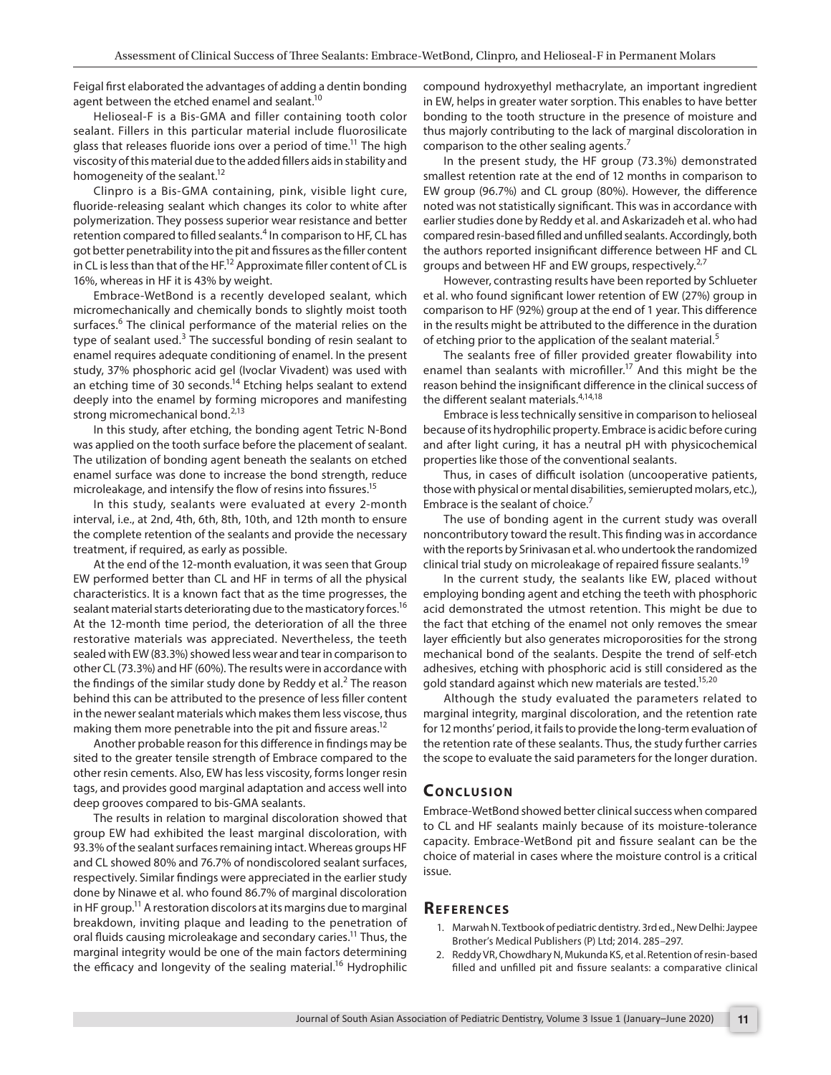Feigal first elaborated the advantages of adding a dentin bonding agent between the etched enamel and sealant.<sup>10</sup>

Helioseal-F is a Bis-GMA and filler containing tooth color sealant. Fillers in this particular material include fluorosilicate glass that releases fluoride ions over a period of time.<sup>11</sup> The high viscosity of this material due to the added fillers aids in stability and homogeneity of the sealant.<sup>12</sup>

Clinpro is a Bis-GMA containing, pink, visible light cure, fluoride-releasing sealant which changes its color to white after polymerization. They possess superior wear resistance and better retention compared to filled sealants.<sup>4</sup> In comparison to HF, CL has got better penetrability into the pit and fissures as the filler content in CL is less than that of the HF.<sup>12</sup> Approximate filler content of CL is 16%, whereas in HF it is 43% by weight.

Embrace-WetBond is a recently developed sealant, which micromechanically and chemically bonds to slightly moist tooth surfaces.<sup>6</sup> The clinical performance of the material relies on the type of sealant used.<sup>3</sup> The successful bonding of resin sealant to enamel requires adequate conditioning of enamel. In the present study, 37% phosphoric acid gel (Ivoclar Vivadent) was used with an etching time of 30 seconds.<sup>14</sup> Etching helps sealant to extend deeply into the enamel by forming micropores and manifesting strong micromechanical bond.<sup>2,13</sup>

In this study, after etching, the bonding agent Tetric N-Bond was applied on the tooth surface before the placement of sealant. The utilization of bonding agent beneath the sealants on etched enamel surface was done to increase the bond strength, reduce microleakage, and intensify the flow of resins into fissures.<sup>15</sup>

In this study, sealants were evaluated at every 2-month interval, i.e., at 2nd, 4th, 6th, 8th, 10th, and 12th month to ensure the complete retention of the sealants and provide the necessary treatment, if required, as early as possible.

At the end of the 12-month evaluation, it was seen that Group EW performed better than CL and HF in terms of all the physical characteristics. It is a known fact that as the time progresses, the sealant material starts deteriorating due to the masticatory forces.<sup>16</sup> At the 12-month time period, the deterioration of all the three restorative materials was appreciated. Nevertheless, the teeth sealed with EW (83.3%) showed less wear and tear in comparison to other CL (73.3%) and HF (60%). The results were in accordance with the findings of the similar study done by Reddy et al.<sup>2</sup> The reason behind this can be attributed to the presence of less filler content in the newer sealant materials which makes them less viscose, thus making them more penetrable into the pit and fissure areas.<sup>12</sup>

Another probable reason for this difference in findings may be sited to the greater tensile strength of Embrace compared to the other resin cements. Also, EW has less viscosity, forms longer resin tags, and provides good marginal adaptation and access well into deep grooves compared to bis-GMA sealants.

The results in relation to marginal discoloration showed that group EW had exhibited the least marginal discoloration, with 93.3% of the sealant surfaces remaining intact. Whereas groups HF and CL showed 80% and 76.7% of nondiscolored sealant surfaces, respectively. Similar findings were appreciated in the earlier study done by Ninawe et al. who found 86.7% of marginal discoloration in HF group.<sup>11</sup> A restoration discolors at its margins due to marginal breakdown, inviting plaque and leading to the penetration of oral fluids causing microleakage and secondary caries.<sup>11</sup> Thus, the marginal integrity would be one of the main factors determining the efficacy and longevity of the sealing material.<sup>16</sup> Hydrophilic

compound hydroxyethyl methacrylate, an important ingredient in EW, helps in greater water sorption. This enables to have better bonding to the tooth structure in the presence of moisture and thus majorly contributing to the lack of marginal discoloration in comparison to the other sealing agents.<sup>7</sup>

In the present study, the HF group (73.3%) demonstrated smallest retention rate at the end of 12 months in comparison to EW group (96.7%) and CL group (80%). However, the difference noted was not statistically significant. This was in accordance with earlier studies done by Reddy et al. and Askarizadeh et al. who had compared resin-based filled and unfilled sealants. Accordingly, both the authors reported insignificant difference between HF and CL groups and between HF and EW groups, respectively.<sup>2,7</sup>

However, contrasting results have been reported by Schlueter et al. who found significant lower retention of EW (27%) group in comparison to HF (92%) group at the end of 1 year. This difference in the results might be attributed to the difference in the duration of etching prior to the application of the sealant material.<sup>5</sup>

The sealants free of filler provided greater flowability into enamel than sealants with microfiller.<sup>17</sup> And this might be the reason behind the insignificant difference in the clinical success of the different sealant materials.<sup>4,14,18</sup>

Embrace is less technically sensitive in comparison to helioseal because of its hydrophilic property. Embrace is acidic before curing and after light curing, it has a neutral pH with physicochemical properties like those of the conventional sealants.

Thus, in cases of difficult isolation (uncooperative patients, those with physical or mental disabilities, semierupted molars, etc.), Embrace is the sealant of choice. $<sup>7</sup>$ </sup>

The use of bonding agent in the current study was overall noncontributory toward the result. This finding was in accordance with the reports by Srinivasan et al. who undertook the randomized clinical trial study on microleakage of repaired fissure sealants.<sup>19</sup>

In the current study, the sealants like EW, placed without employing bonding agent and etching the teeth with phosphoric acid demonstrated the utmost retention. This might be due to the fact that etching of the enamel not only removes the smear layer efficiently but also generates microporosities for the strong mechanical bond of the sealants. Despite the trend of self-etch adhesives, etching with phosphoric acid is still considered as the gold standard against which new materials are tested.<sup>15,20</sup>

Although the study evaluated the parameters related to marginal integrity, marginal discoloration, and the retention rate for 12 months' period, it fails to provide the long-term evaluation of the retention rate of these sealants. Thus, the study further carries the scope to evaluate the said parameters for the longer duration.

### **CONCLUSION**

Embrace-WetBond showed better clinical success when compared to CL and HF sealants mainly because of its moisture-tolerance capacity. Embrace-WetBond pit and fissure sealant can be the choice of material in cases where the moisture control is a critical issue.

### **Re f e r e n c e s**

- 1. Marwah N. Textbook of pediatric dentistry. 3rd ed., New Delhi: Jaypee Brother's Medical Publishers (P) Ltd; 2014. 285–297.
- 2. Reddy VR, Chowdhary N, Mukunda KS, et al. Retention of resin-based filled and unfilled pit and fissure sealants: a comparative clinical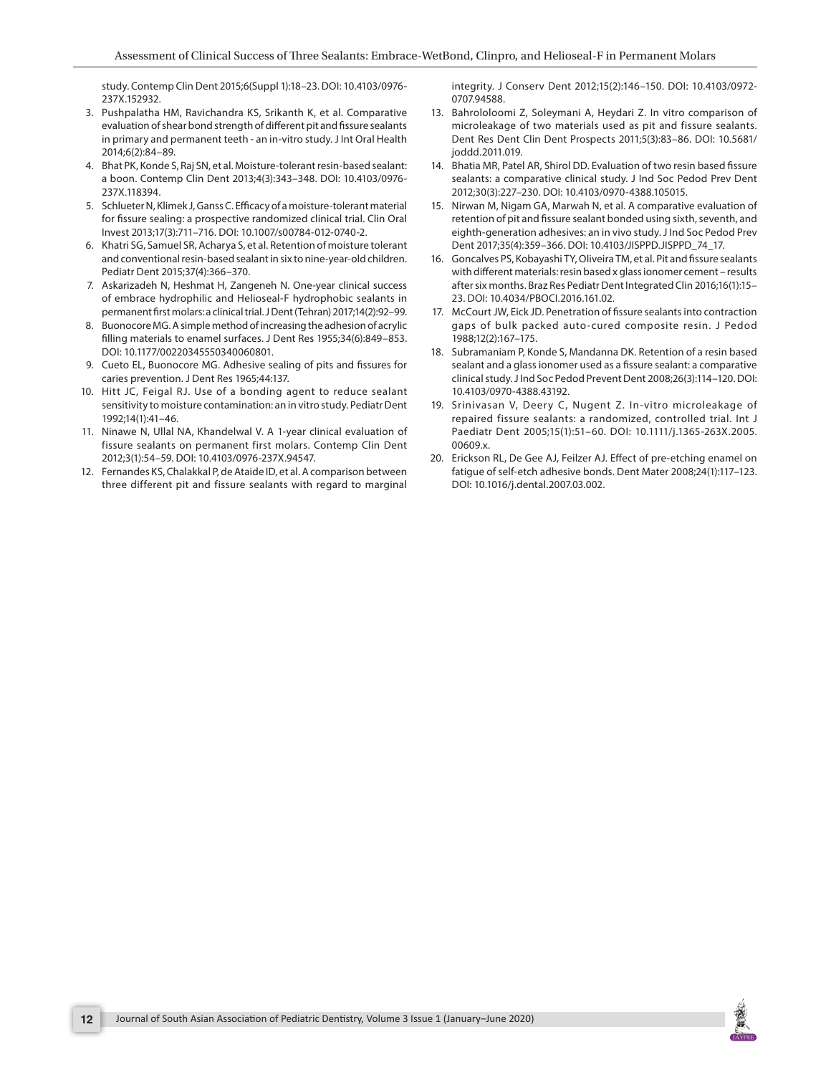study. Contemp Clin Dent 2015;6(Suppl 1):18–23. DOI: 10.4103/0976- 237X.152932.

- 3. Pushpalatha HM, Ravichandra KS, Srikanth K, et al. Comparative evaluation of shear bond strength of different pit and fissure sealants in primary and permanent teeth - an in-vitro study. J Int Oral Health 2014;6(2):84–89.
- 4. Bhat PK, Konde S, Raj SN, et al. Moisture-tolerant resin-based sealant: a boon. Contemp Clin Dent 2013;4(3):343–348. DOI: 10.4103/0976- 237X.118394.
- 5. Schlueter N, Klimek J, Ganss C. Efficacy of a moisture-tolerant material for fissure sealing: a prospective randomized clinical trial. Clin Oral Invest 2013;17(3):711–716. DOI: 10.1007/s00784-012-0740-2.
- 6. Khatri SG, Samuel SR, Acharya S, et al. Retention of moisture tolerant and conventional resin-based sealant in six to nine-year-old children. Pediatr Dent 2015;37(4):366–370.
- 7. Askarizadeh N, Heshmat H, Zangeneh N. One-year clinical success of embrace hydrophilic and Helioseal-F hydrophobic sealants in permanent first molars: a clinical trial. J Dent (Tehran) 2017;14(2):92–99.
- 8. Buonocore MG. A simple method of increasing the adhesion of acrylic filling materials to enamel surfaces. J Dent Res 1955;34(6):849–853. DOI: 10.1177/00220345550340060801.
- 9. Cueto EL, Buonocore MG. Adhesive sealing of pits and fissures for caries prevention. J Dent Res 1965;44:137.
- 10. Hitt JC, Feigal RJ. Use of a bonding agent to reduce sealant sensitivity to moisture contamination: an in vitro study. Pediatr Dent 1992;14(1):41–46.
- 11. Ninawe N, Ullal NA, Khandelwal V. A 1-year clinical evaluation of fissure sealants on permanent first molars. Contemp Clin Dent 2012;3(1):54–59. DOI: 10.4103/0976-237X.94547.
- 12. Fernandes KS, Chalakkal P, de Ataide ID, et al. A comparison between three different pit and fissure sealants with regard to marginal

integrity. J Conserv Dent 2012;15(2):146–150. DOI: 10.4103/0972- 0707.94588.

- 13. Bahrololoomi Z, Soleymani A, Heydari Z. In vitro comparison of microleakage of two materials used as pit and fissure sealants. Dent Res Dent Clin Dent Prospects 2011;5(3):83–86. DOI: 10.5681/ joddd.2011.019.
- 14. Bhatia MR, Patel AR, Shirol DD. Evaluation of two resin based fissure sealants: a comparative clinical study. J Ind Soc Pedod Prev Dent 2012;30(3):227–230. DOI: 10.4103/0970-4388.105015.
- 15. Nirwan M, Nigam GA, Marwah N, et al. A comparative evaluation of retention of pit and fissure sealant bonded using sixth, seventh, and eighth-generation adhesives: an in vivo study. J Ind Soc Pedod Prev Dent 2017;35(4):359–366. DOI: 10.4103/JISPPD.JISPPD\_74\_17.
- 16. Goncalves PS, Kobayashi TY, Oliveira TM, et al. Pit and fissure sealants with different materials: resin based x glass ionomer cement – results after six months. Braz Res Pediatr Dent Integrated Clin 2016;16(1):15– 23. DOI: 10.4034/PBOCI.2016.161.02.
- 17. McCourt JW, Eick JD. Penetration of fissure sealants into contraction gaps of bulk packed auto-cured composite resin. J Pedod 1988;12(2):167–175.
- 18. Subramaniam P, Konde S, Mandanna DK. Retention of a resin based sealant and a glass ionomer used as a fissure sealant: a comparative clinical study. J Ind Soc Pedod Prevent Dent 2008;26(3):114–120. DOI: 10.4103/0970-4388.43192.
- 19. Srinivasan V, Deery C, Nugent Z. In-vitro microleakage of repaired fissure sealants: a randomized, controlled trial. Int J Paediatr Dent 2005;15(1):51–60. DOI: 10.1111/j.1365-263X.2005. 00609.x.
- 20. Erickson RL, De Gee AJ, Feilzer AJ. Effect of pre-etching enamel on fatigue of self-etch adhesive bonds. Dent Mater 2008;24(1):117–123. DOI: 10.1016/j.dental.2007.03.002.